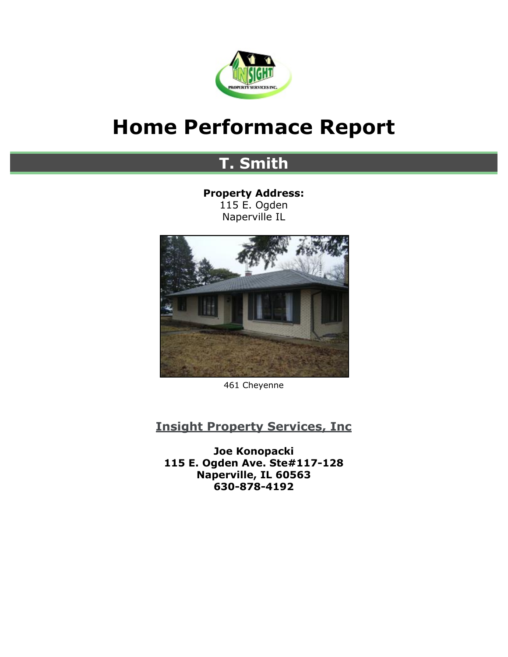

# <span id="page-0-0"></span>**Home Performace Report**

# **T. Smith**

**Property Address:** 115 E. Ogden Naperville IL



461 Cheyenne

# **[Insight Property Services, Inc](http://insightpropertyservicesinc.com)**

**Joe Konopacki 115 E. Ogden Ave. Ste#117-128 Naperville, IL 60563 630-878-4192**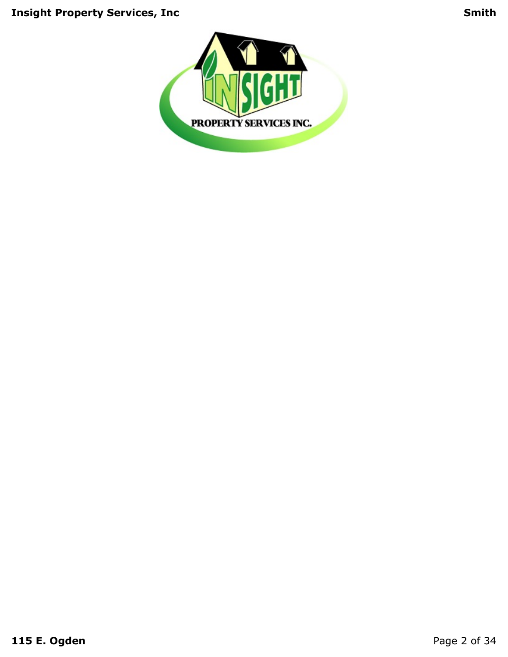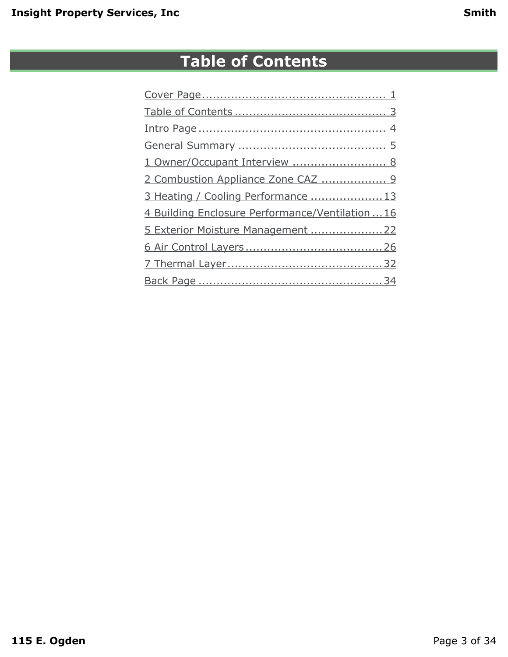# **Table of Contents**

<span id="page-2-0"></span>

| 1 Owner/Occupant Interview  8                    |
|--------------------------------------------------|
| 2 Combustion Appliance Zone CAZ  9               |
| 3 Heating / Cooling Performance  13              |
| 4 Building Enclosure Performance/Ventilation  16 |
| 5 Exterior Moisture Management  22               |
|                                                  |
|                                                  |
|                                                  |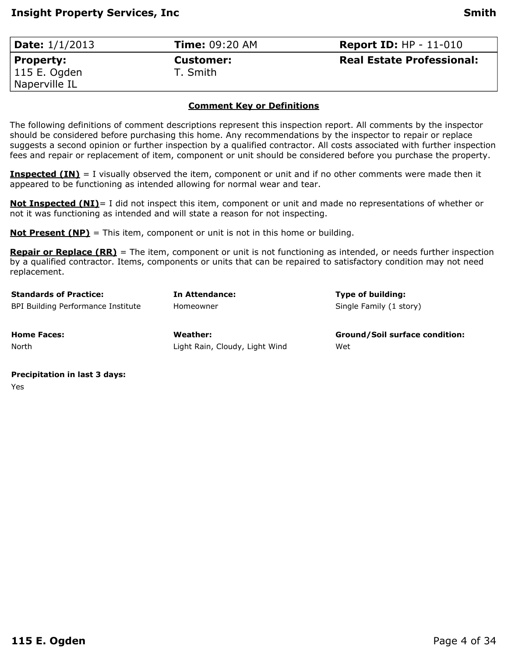<span id="page-3-0"></span>

| <b>Date:</b> $1/1/2013$ | <b>Time: 09:20 AM</b> | <b>Report ID:</b> $HP - 11-010$  |
|-------------------------|-----------------------|----------------------------------|
| <b>Property:</b>        | <b>Customer:</b>      | <b>Real Estate Professional:</b> |
| 115 E. Ogden            | T. Smith              |                                  |
| Naperville IL           |                       |                                  |

#### **Comment Key or Definitions**

The following definitions of comment descriptions represent this inspection report. All comments by the inspector should be considered before purchasing this home. Any recommendations by the inspector to repair or replace suggests a second opinion or further inspection by a qualified contractor. All costs associated with further inspection fees and repair or replacement of item, component or unit should be considered before you purchase the property.

**Inspected (IN)** = I visually observed the item, component or unit and if no other comments were made then it appeared to be functioning as intended allowing for normal wear and tear.

**Not Inspected (NI)**= I did not inspect this item, component or unit and made no representations of whether or not it was functioning as intended and will state a reason for not inspecting.

**Not Present (NP)** = This item, component or unit is not in this home or building.

**Repair or Replace (RR)** = The item, component or unit is not functioning as intended, or needs further inspection by a qualified contractor. Items, components or units that can be repaired to satisfactory condition may not need replacement.

| <b>Standards of Practice:</b>      | <b>In Attendance:</b>          | Type of building:                     |
|------------------------------------|--------------------------------|---------------------------------------|
| BPI Building Performance Institute | Homeowner                      | Single Family (1 story)               |
|                                    |                                |                                       |
| <b>Home Faces:</b>                 | Weather:                       | <b>Ground/Soil surface condition:</b> |
| North                              | Light Rain, Cloudy, Light Wind | Wet                                   |
|                                    |                                |                                       |

#### **Precipitation in last 3 days:**

Yes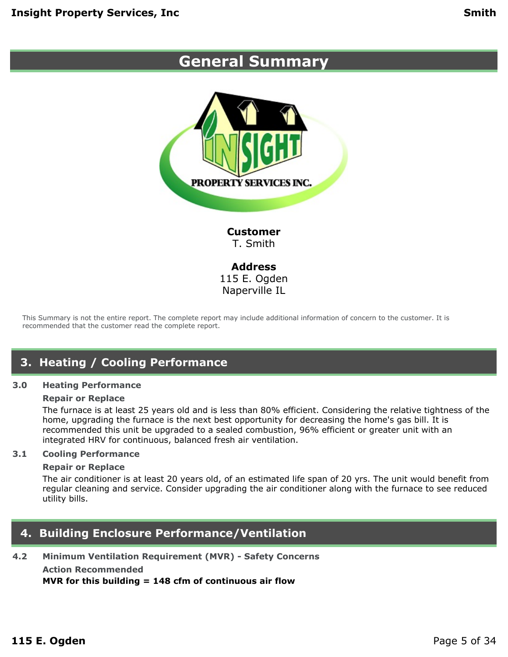# **General Summary**

<span id="page-4-0"></span>

**Customer** T. Smith

**Address** 115 E. Ogden Naperville IL

This Summary is not the entire report. The complete report may include additional information of concern to the customer. It is recommended that the customer read the complete report.

# **3. Heating / Cooling Performance**

#### **3.0 Heating Performance**

#### **Repair or Replace**

The furnace is at least 25 years old and is less than 80% efficient. Considering the relative tightness of the home, upgrading the furnace is the next best opportunity for decreasing the home's gas bill. It is recommended this unit be upgraded to a sealed combustion, 96% efficient or greater unit with an integrated HRV for continuous, balanced fresh air ventilation.

#### **3.1 Cooling Performance**

#### **Repair or Replace**

The air conditioner is at least 20 years old, of an estimated life span of 20 yrs. The unit would benefit from regular cleaning and service. Consider upgrading the air conditioner along with the furnace to see reduced utility bills.

# **4. Building Enclosure Performance/Ventilation**

### **4.2 Minimum Ventilation Requirement (MVR) - Safety Concerns**

#### **Action Recommended**

**MVR for this building = 148 cfm of continuous air flow**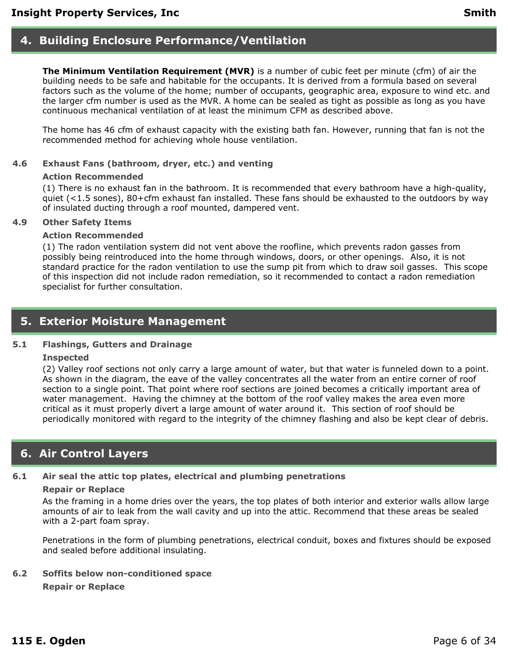**The Minimum Ventilation Requirement (MVR)** is a number of cubic feet per minute (cfm) of air the building needs to be safe and habitable for the occupants. It is derived from a formula based on several factors such as the volume of the home; number of occupants, geographic area, exposure to wind etc. and the larger cfm number is used as the MVR. A home can be sealed as tight as possible as long as you have continuous mechanical ventilation of at least the minimum CFM as described above.

The home has 46 cfm of exhaust capacity with the existing bath fan. However, running that fan is not the recommended method for achieving whole house ventilation.

#### **4.6 Exhaust Fans (bathroom, dryer, etc.) and venting**

#### **Action Recommended**

(1) There is no exhaust fan in the bathroom. It is recommended that every bathroom have a high-quality, quiet (<1.5 sones), 80+cfm exhaust fan installed. These fans should be exhausted to the outdoors by way of insulated ducting through a roof mounted, dampered vent.

#### **4.9 Other Safety Items**

#### **Action Recommended**

(1) The radon ventilation system did not vent above the roofline, which prevents radon gasses from possibly being reintroduced into the home through windows, doors, or other openings. Also, it is not standard practice for the radon ventilation to use the sump pit from which to draw soil gasses. This scope of this inspection did not include radon remediation, so it recommended to contact a radon remediation specialist for further consultation.

# **5. Exterior Moisture Management**

#### **5.1 Flashings, Gutters and Drainage**

#### **Inspected**

(2) Valley roof sections not only carry a large amount of water, but that water is funneled down to a point. As shown in the diagram, the eave of the valley concentrates all the water from an entire corner of roof section to a single point. That point where roof sections are joined becomes a critically important area of water management. Having the chimney at the bottom of the roof valley makes the area even more critical as it must properly divert a large amount of water around it. This section of roof should be periodically monitored with regard to the integrity of the chimney flashing and also be kept clear of debris.

# **6. Air Control Layers**

#### **6.1 Air seal the attic top plates, electrical and plumbing penetrations**

#### **Repair or Replace**

As the framing in a home dries over the years, the top plates of both interior and exterior walls allow large amounts of air to leak from the wall cavity and up into the attic. Recommend that these areas be sealed with a 2-part foam spray.

Penetrations in the form of plumbing penetrations, electrical conduit, boxes and fixtures should be exposed and sealed before additional insulating.

# **6.2 Soffits below non-conditioned space**

**Repair or Replace**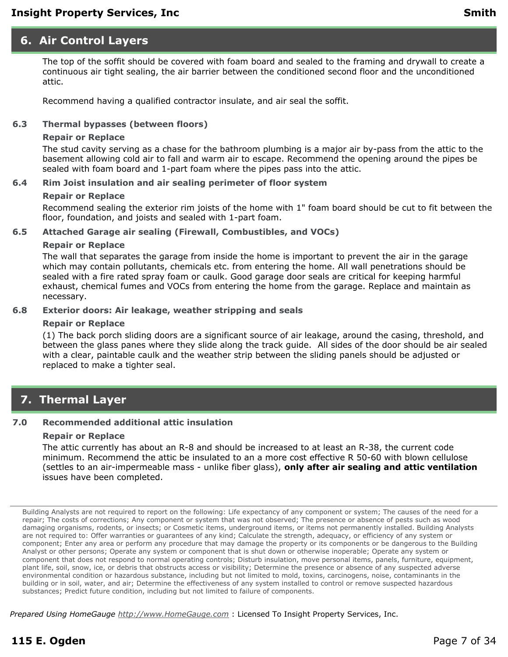# **6. Air Control Layers**

The top of the soffit should be covered with foam board and sealed to the framing and drywall to create a continuous air tight sealing, the air barrier between the conditioned second floor and the unconditioned attic.

Recommend having a qualified contractor insulate, and air seal the soffit.

#### **6.3 Thermal bypasses (between floors)**

#### **Repair or Replace**

The stud cavity serving as a chase for the bathroom plumbing is a major air by-pass from the attic to the basement allowing cold air to fall and warm air to escape. Recommend the opening around the pipes be sealed with foam board and 1-part foam where the pipes pass into the attic.

#### **6.4 Rim Joist insulation and air sealing perimeter of floor system**

#### **Repair or Replace**

Recommend sealing the exterior rim joists of the home with 1" foam board should be cut to fit between the floor, foundation, and joists and sealed with 1-part foam.

#### **6.5 Attached Garage air sealing (Firewall, Combustibles, and VOCs)**

#### **Repair or Replace**

The wall that separates the garage from inside the home is important to prevent the air in the garage which may contain pollutants, chemicals etc. from entering the home. All wall penetrations should be sealed with a fire rated spray foam or caulk. Good garage door seals are critical for keeping harmful exhaust, chemical fumes and VOCs from entering the home from the garage. Replace and maintain as necessary.

#### **6.8 Exterior doors: Air leakage, weather stripping and seals**

#### **Repair or Replace**

(1) The back porch sliding doors are a significant source of air leakage, around the casing, threshold, and between the glass panes where they slide along the track guide. All sides of the door should be air sealed with a clear, paintable caulk and the weather strip between the sliding panels should be adjusted or replaced to make a tighter seal.

# **7. Thermal Layer**

#### **7.0 Recommended additional attic insulation**

#### **Repair or Replace**

The attic currently has about an R-8 and should be increased to at least an R-38, the current code minimum. Recommend the attic be insulated to an a more cost effective R 50-60 with blown cellulose (settles to an air-impermeable mass - unlike fiber glass), **only after air sealing and attic ventilation** issues have been completed.

Building Analysts are not required to report on the following: Life expectancy of any component or system; The causes of the need for a repair; The costs of corrections; Any component or system that was not observed; The presence or absence of pests such as wood damaging organisms, rodents, or insects; or Cosmetic items, underground items, or items not permanently installed. Building Analysts are not required to: Offer warranties or guarantees of any kind; Calculate the strength, adequacy, or efficiency of any system or component; Enter any area or perform any procedure that may damage the property or its components or be dangerous to the Building Analyst or other persons; Operate any system or component that is shut down or otherwise inoperable; Operate any system or component that does not respond to normal operating controls; Disturb insulation, move personal items, panels, furniture, equipment, plant life, soil, snow, ice, or debris that obstructs access or visibility; Determine the presence or absence of any suspected adverse environmental condition or hazardous substance, including but not limited to mold, toxins, carcinogens, noise, contaminants in the building or in soil, water, and air; Determine the effectiveness of any system installed to control or remove suspected hazardous substances; Predict future condition, including but not limited to failure of components.

*Prepared Using HomeGauge <http://www.HomeGauge.com>* : Licensed To Insight Property Services, Inc.

# **115 E. Ogden** Page 7 of 34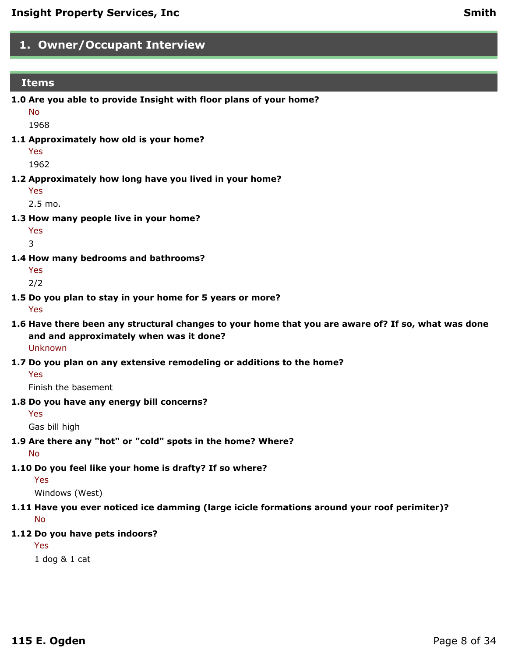# <span id="page-7-0"></span>**1. Owner/Occupant Interview**

#### **Items**

**1.0 Are you able to provide Insight with floor plans of your home?**

No

1968

**1.1 Approximately how old is your home?**

Yes

1962

**1.2 Approximately how long have you lived in your home?**

Yes

2.5 mo.

**1.3 How many people live in your home?**

Yes

3

**1.4 How many bedrooms and bathrooms?**

Yes

2/2

**1.5 Do you plan to stay in your home for 5 years or more?**

Yes

**1.6 Have there been any structural changes to your home that you are aware of? If so, what was done and and approximately when was it done?**

Unknown

**1.7 Do you plan on any extensive remodeling or additions to the home?**

Yes

Finish the basement

**1.8 Do you have any energy bill concerns?**

Yes

Gas bill high

**1.9 Are there any "hot" or "cold" spots in the home? Where?**

No

**1.10 Do you feel like your home is drafty? If so where?**

Yes

Windows (West)

- **1.11 Have you ever noticed ice damming (large icicle formations around your roof perimiter)?** No
- **1.12 Do you have pets indoors?**

Yes 1 dog & 1 cat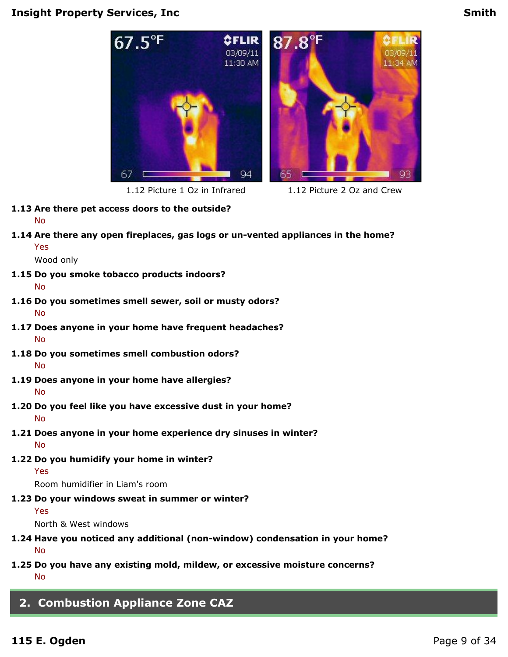

1.12 Picture 1 Oz in Infrared 1.12 Picture 2 Oz and Crew



- **1.13 Are there pet access doors to the outside?** No
- **1.14 Are there any open fireplaces, gas logs or un-vented appliances in the home?** Yes

Wood only

- **1.15 Do you smoke tobacco products indoors?** No
- **1.16 Do you sometimes smell sewer, soil or musty odors?** No
- **1.17 Does anyone in your home have frequent headaches?** No
- **1.18 Do you sometimes smell combustion odors?** No
- **1.19 Does anyone in your home have allergies?** No
- **1.20 Do you feel like you have excessive dust in your home?** No
- **1.21 Does anyone in your home experience dry sinuses in winter?** No
- **1.22 Do you humidify your home in winter?** Yes

Room humidifier in Liam's room

**1.23 Do your windows sweat in summer or winter?** Yes

North & West windows

- **1.24 Have you noticed any additional (non-window) condensation in your home?** No
- <span id="page-8-0"></span>**1.25 Do you have any existing mold, mildew, or excessive moisture concerns?** No
	- **2. Combustion Appliance Zone CAZ**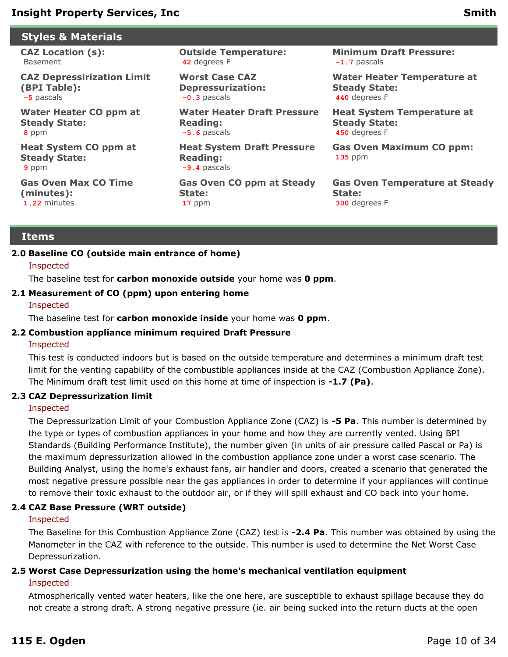#### **Styles & Materials**

**CAZ Location (s):** Basement

**CAZ Depressirization Limit (BPI Table): -5** pascals

**Water Heater CO ppm at Steady State: 8** ppm

**Heat System CO ppm at Steady State: 9** ppm

**Gas Oven Max CO Time (minutes): 1.22** minutes

**Outside Temperature: 42** degrees F

**Worst Case CAZ Depressurization: -0.3** pascals

**Water Heater Draft Pressure Reading: -5.6** pascals

**Heat System Draft Pressure Reading: -9.4** pascals

**Gas Oven CO ppm at Steady State: 17** ppm

**Minimum Draft Pressure: -1.7** pascals

**Water Heater Temperature at Steady State: 440** degrees F

**Heat System Temperature at Steady State: 450** degrees F

**Gas Oven Maximum CO ppm: 135** ppm

**Gas Oven Temperature at Steady State: 300** degrees F

#### **Items**

#### **2.0 Baseline CO (outside main entrance of home)**

#### Inspected

The baseline test for **carbon monoxide outside** your home was **0 ppm**.

#### **2.1 Measurement of CO (ppm) upon entering home**

#### Inspected

The baseline test for **carbon monoxide inside** your home was **0 ppm**.

#### **2.2 Combustion appliance minimum required Draft Pressure**

#### Inspected

This test is conducted indoors but is based on the outside temperature and determines a minimum draft test limit for the venting capability of the combustible appliances inside at the CAZ (Combustion Appliance Zone). The Minimum draft test limit used on this home at time of inspection is **-1.7 (Pa)**.

#### **2.3 CAZ Depressurization limit**

#### Inspected

The Depressurization Limit of your Combustion Appliance Zone (CAZ) is **-5 Pa**. This number is determined by the type or types of combustion appliances in your home and how they are currently vented. Using BPI Standards (Building Performance Institute), the number given (in units of air pressure called Pascal or Pa) is the maximum depressurization allowed in the combustion appliance zone under a worst case scenario. The Building Analyst, using the home's exhaust fans, air handler and doors, created a scenario that generated the most negative pressure possible near the gas appliances in order to determine if your appliances will continue to remove their toxic exhaust to the outdoor air, or if they will spill exhaust and CO back into your home.

#### **2.4 CAZ Base Pressure (WRT outside)**

#### Inspected

The Baseline for this Combustion Appliance Zone (CAZ) test is **-2.4 Pa**. This number was obtained by using the Manometer in the CAZ with reference to the outside. This number is used to determine the Net Worst Case Depressurization.

#### **2.5 Worst Case Depressurization using the home's mechanical ventilation equipment**

#### Inspected

Atmospherically vented water heaters, like the one here, are susceptible to exhaust spillage because they do not create a strong draft. A strong negative pressure (ie. air being sucked into the return ducts at the open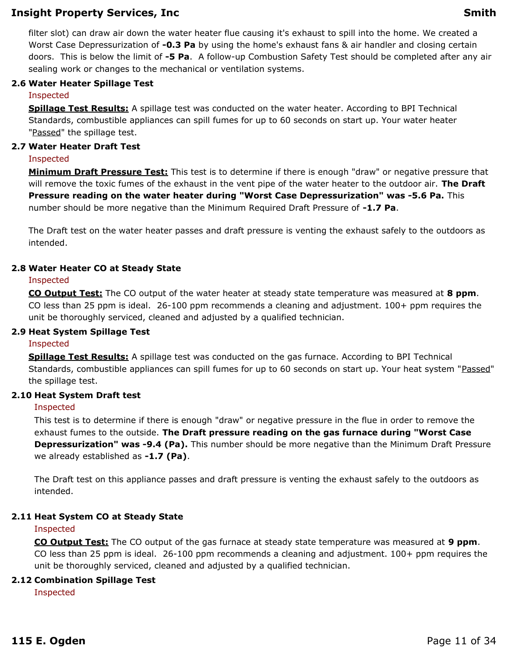filter slot) can draw air down the water heater flue causing it's exhaust to spill into the home. We created a Worst Case Depressurization of **-0.3 Pa** by using the home's exhaust fans & air handler and closing certain doors. This is below the limit of **-5 Pa**. A follow-up Combustion Safety Test should be completed after any air sealing work or changes to the mechanical or ventilation systems.

#### **2.6 Water Heater Spillage Test**

#### Inspected

**Spillage Test Results:** A spillage test was conducted on the water heater. According to BPI Technical Standards, combustible appliances can spill fumes for up to 60 seconds on start up. Your water heater "Passed" the spillage test.

#### **2.7 Water Heater Draft Test**

#### Inspected

**Minimum Draft Pressure Test:** This test is to determine if there is enough "draw" or negative pressure that will remove the toxic fumes of the exhaust in the vent pipe of the water heater to the outdoor air. **The Draft Pressure reading on the water heater during "Worst Case Depressurization" was -5.6 Pa.** This number should be more negative than the Minimum Required Draft Pressure of **-1.7 Pa**.

The Draft test on the water heater passes and draft pressure is venting the exhaust safely to the outdoors as intended.

#### **2.8 Water Heater CO at Steady State**

#### Inspected

**CO Output Test:** The CO output of the water heater at steady state temperature was measured at **8 ppm**. CO less than 25 ppm is ideal. 26-100 ppm recommends a cleaning and adjustment. 100+ ppm requires the unit be thoroughly serviced, cleaned and adjusted by a qualified technician.

#### **2.9 Heat System Spillage Test**

#### Inspected

**Spillage Test Results:** A spillage test was conducted on the gas furnace. According to BPI Technical Standards, combustible appliances can spill fumes for up to 60 seconds on start up. Your heat system "Passed" the spillage test.

#### **2.10 Heat System Draft test**

#### Inspected

This test is to determine if there is enough "draw" or negative pressure in the flue in order to remove the exhaust fumes to the outside. **The Draft pressure reading on the gas furnace during "Worst Case Depressurization" was -9.4 (Pa).** This number should be more negative than the Minimum Draft Pressure we already established as **-1.7 (Pa)**.

The Draft test on this appliance passes and draft pressure is venting the exhaust safely to the outdoors as intended.

#### **2.11 Heat System CO at Steady State**

#### Inspected

**CO Output Test:** The CO output of the gas furnace at steady state temperature was measured at **9 ppm**. CO less than 25 ppm is ideal. 26-100 ppm recommends a cleaning and adjustment. 100+ ppm requires the unit be thoroughly serviced, cleaned and adjusted by a qualified technician.

#### **2.12 Combination Spillage Test**

Inspected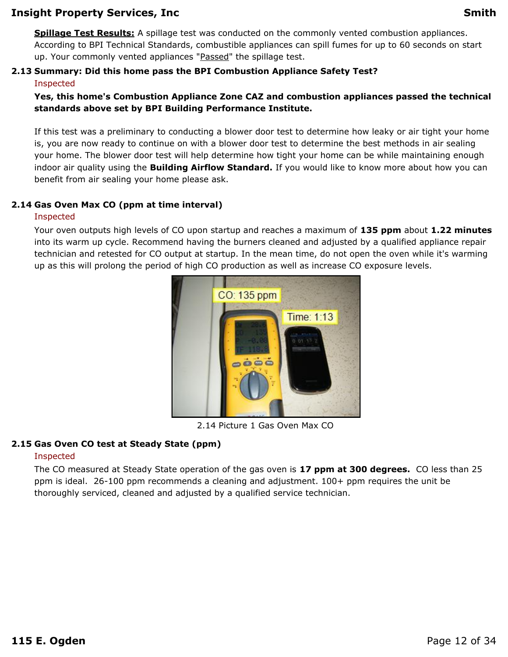**Spillage Test Results:** A spillage test was conducted on the commonly vented combustion appliances. According to BPI Technical Standards, combustible appliances can spill fumes for up to 60 seconds on start up. Your commonly vented appliances "Passed" the spillage test.

#### **2.13 Summary: Did this home pass the BPI Combustion Appliance Safety Test?** Inspected

**Yes, this home's Combustion Appliance Zone CAZ and combustion appliances passed the technical standards above set by BPI Building Performance Institute.**

If this test was a preliminary to conducting a blower door test to determine how leaky or air tight your home is, you are now ready to continue on with a blower door test to determine the best methods in air sealing your home. The blower door test will help determine how tight your home can be while maintaining enough indoor air quality using the **Building Airflow Standard.** If you would like to know more about how you can benefit from air sealing your home please ask.

### **2.14 Gas Oven Max CO (ppm at time interval)**

#### Inspected

Your oven outputs high levels of CO upon startup and reaches a maximum of **135 ppm** about **1.22 minutes** into its warm up cycle. Recommend having the burners cleaned and adjusted by a qualified appliance repair technician and retested for CO output at startup. In the mean time, do not open the oven while it's warming up as this will prolong the period of high CO production as well as increase CO exposure levels.



2.14 Picture 1 Gas Oven Max CO

### **2.15 Gas Oven CO test at Steady State (ppm)**

#### Inspected

The CO measured at Steady State operation of the gas oven is **17 ppm at 300 degrees.** CO less than 25 ppm is ideal. 26-100 ppm recommends a cleaning and adjustment. 100+ ppm requires the unit be thoroughly serviced, cleaned and adjusted by a qualified service technician.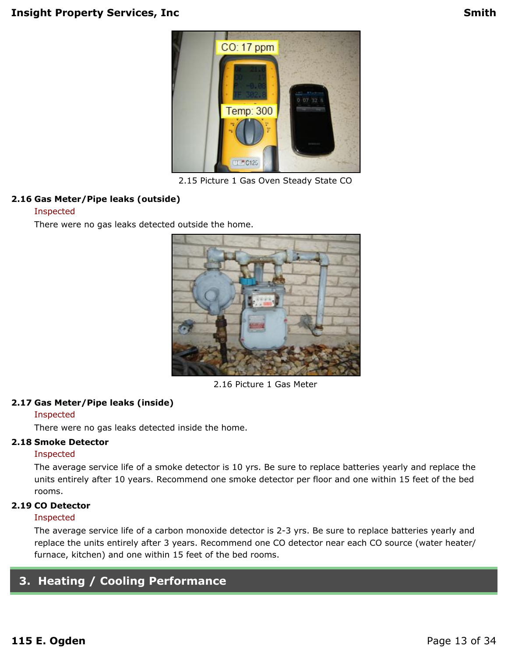

2.15 Picture 1 Gas Oven Steady State CO

### **2.16 Gas Meter/Pipe leaks (outside)**

#### Inspected

There were no gas leaks detected outside the home.



2.16 Picture 1 Gas Meter

### **2.17 Gas Meter/Pipe leaks (inside)**

#### Inspected

There were no gas leaks detected inside the home.

#### **2.18 Smoke Detector**

#### Inspected

The average service life of a smoke detector is 10 yrs. Be sure to replace batteries yearly and replace the units entirely after 10 years. Recommend one smoke detector per floor and one within 15 feet of the bed rooms.

#### **2.19 CO Detector**

#### Inspected

The average service life of a carbon monoxide detector is 2-3 yrs. Be sure to replace batteries yearly and replace the units entirely after 3 years. Recommend one CO detector near each CO source (water heater/ furnace, kitchen) and one within 15 feet of the bed rooms.

# <span id="page-12-0"></span>**3. Heating / Cooling Performance**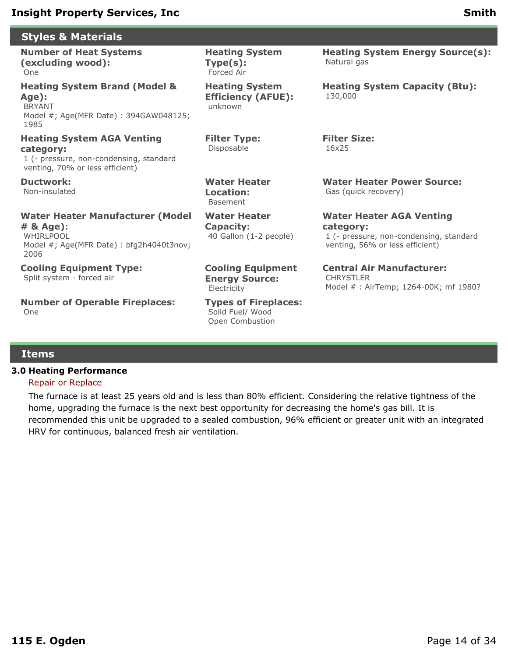# **Styles & Materials**

**Number of Heat Systems (excluding wood):** One **Heating System Brand (Model & Age):**

BRYANT Model #; Age(MFR Date) : 394GAW048125; 1985

**Heating System AGA Venting category:**

1 (- pressure, non-condensing, standard venting, 70% or less efficient)

**Ductwork:** Non-insulated

**Water Heater Manufacturer (Model # & Age):** WHIRLPOOL Model #; Age(MFR Date) : bfg2h4040t3nov; 2006

**Cooling Equipment Type:** Split system - forced air

**Number of Operable Fireplaces:** One

**Heating System Type(s):** Forced Air

**Heating System Efficiency (AFUE):** unknown

**Filter Type:** Disposable

**Water Heater Location:** Basement

**Water Heater Capacity:** 40 Gallon (1-2 people)

**Cooling Equipment Energy Source:** Electricity

**Types of Fireplaces:** Solid Fuel/ Wood Open Combustion

**Heating System Energy Source(s):** Natural gas

**Heating System Capacity (Btu):** 130,000

**Filter Size:** 16x25

**Water Heater Power Source:** Gas (quick recovery)

**Water Heater AGA Venting category:** 1 (- pressure, non-condensing, standard venting, 56% or less efficient)

**Central Air Manufacturer: CHRYSTLER** Model # : AirTemp; 1264-00K; mf 1980?

**Items**

#### **3.0 Heating Performance**

#### Repair or Replace

The furnace is at least 25 years old and is less than 80% efficient. Considering the relative tightness of the home, upgrading the furnace is the next best opportunity for decreasing the home's gas bill. It is recommended this unit be upgraded to a sealed combustion, 96% efficient or greater unit with an integrated HRV for continuous, balanced fresh air ventilation.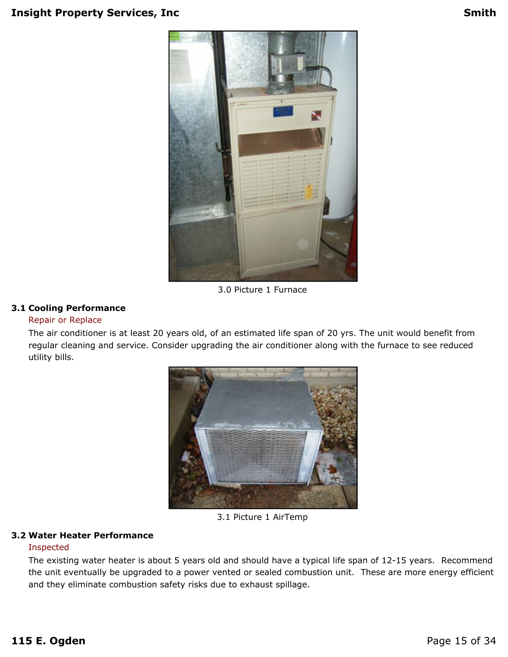

3.0 Picture 1 Furnace

#### **3.1 Cooling Performance**

#### Repair or Replace

The air conditioner is at least 20 years old, of an estimated life span of 20 yrs. The unit would benefit from regular cleaning and service. Consider upgrading the air conditioner along with the furnace to see reduced utility bills.



3.1 Picture 1 AirTemp

### **3.2 Water Heater Performance**

### Inspected

The existing water heater is about 5 years old and should have a typical life span of 12-15 years. Recommend the unit eventually be upgraded to a power vented or sealed combustion unit. These are more energy efficient and they eliminate combustion safety risks due to exhaust spillage.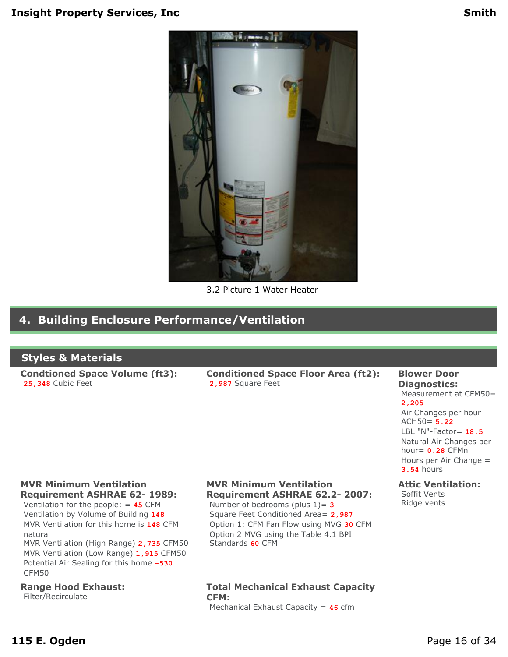

3.2 Picture 1 Water Heater

# <span id="page-15-0"></span>**4. Building Enclosure Performance/Ventilation**

### **Styles & Materials**

**Condtioned Space Volume (ft3): 25,348** Cubic Feet

**Conditioned Space Floor Area (ft2): 2,987** Square Feet

#### **Blower Door Diagnostics:** Measurement at CFM50= **2,205**

Air Changes per hour ACH50= **5.22** LBL "N"-Factor= **18.5** Natural Air Changes per hour= **0.28** CFMn Hours per Air Change = **3.54** hours

**Attic Ventilation:**

Soffit Vents Ridge vents

#### **MVR Minimum Ventilation Requirement ASHRAE 62- 1989:**

Ventilation for the people: = **45** CFM Ventilation by Volume of Building **148** MVR Ventilation for this home is **148** CFM natural

MVR Ventilation (High Range) **2,735** CFM50 MVR Ventilation (Low Range) **1,915** CFM50 Potential Air Sealing for this home **-530** CFM50

#### **Range Hood Exhaust:**

Filter/Recirculate

#### **MVR Minimum Ventilation Requirement ASHRAE 62.2- 2007:**

Number of bedrooms (plus 1)= **3** Square Feet Conditioned Area= **2,987** Option 1: CFM Fan Flow using MVG **30** CFM Option 2 MVG using the Table 4.1 BPI Standards **60** CFM

### **Total Mechanical Exhaust Capacity CFM:**

Mechanical Exhaust Capacity = **46** cfm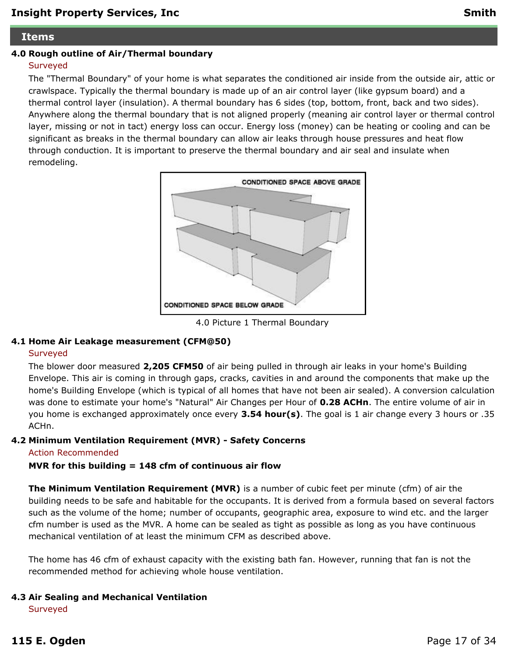# **Items**

# **4.0 Rough outline of Air/Thermal boundary**

# **Surveyed**

The "Thermal Boundary" of your home is what separates the conditioned air inside from the outside air, attic or crawlspace. Typically the thermal boundary is made up of an air control layer (like gypsum board) and a thermal control layer (insulation). A thermal boundary has 6 sides (top, bottom, front, back and two sides). Anywhere along the thermal boundary that is not aligned properly (meaning air control layer or thermal control layer, missing or not in tact) energy loss can occur. Energy loss (money) can be heating or cooling and can be significant as breaks in the thermal boundary can allow air leaks through house pressures and heat flow through conduction. It is important to preserve the thermal boundary and air seal and insulate when remodeling.



4.0 Picture 1 Thermal Boundary

#### **4.1 Home Air Leakage measurement (CFM@50)**

#### Surveyed

The blower door measured **2,205 CFM50** of air being pulled in through air leaks in your home's Building Envelope. This air is coming in through gaps, cracks, cavities in and around the components that make up the home's Building Envelope (which is typical of all homes that have not been air sealed). A conversion calculation was done to estimate your home's "Natural" Air Changes per Hour of **0.28 ACHn**. The entire volume of air in you home is exchanged approximately once every **3.54 hour(s)**. The goal is 1 air change every 3 hours or .35 ACHn.

### **4.2 Minimum Ventilation Requirement (MVR) - Safety Concerns**

Action Recommended

**MVR for this building = 148 cfm of continuous air flow**

**The Minimum Ventilation Requirement (MVR)** is a number of cubic feet per minute (cfm) of air the building needs to be safe and habitable for the occupants. It is derived from a formula based on several factors such as the volume of the home; number of occupants, geographic area, exposure to wind etc. and the larger cfm number is used as the MVR. A home can be sealed as tight as possible as long as you have continuous mechanical ventilation of at least the minimum CFM as described above.

The home has 46 cfm of exhaust capacity with the existing bath fan. However, running that fan is not the recommended method for achieving whole house ventilation.

### **4.3 Air Sealing and Mechanical Ventilation**

Surveyed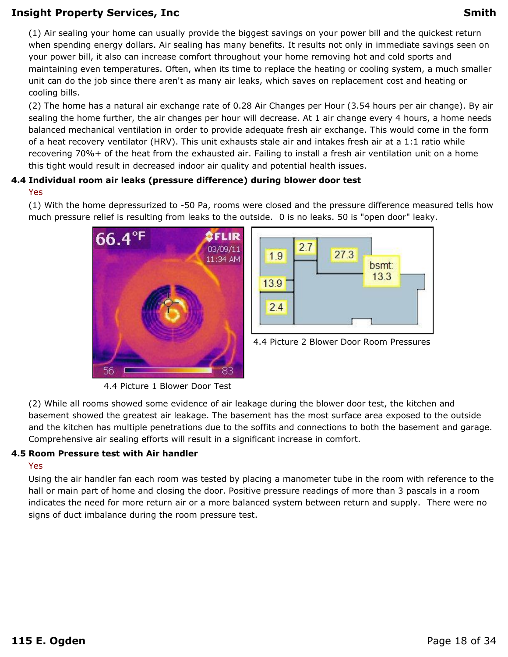(1) Air sealing your home can usually provide the biggest savings on your power bill and the quickest return when spending energy dollars. Air sealing has many benefits. It results not only in immediate savings seen on your power bill, it also can increase comfort throughout your home removing hot and cold sports and maintaining even temperatures. Often, when its time to replace the heating or cooling system, a much smaller unit can do the job since there aren't as many air leaks, which saves on replacement cost and heating or cooling bills.

(2) The home has a natural air exchange rate of 0.28 Air Changes per Hour (3.54 hours per air change). By air sealing the home further, the air changes per hour will decrease. At 1 air change every 4 hours, a home needs balanced mechanical ventilation in order to provide adequate fresh air exchange. This would come in the form of a heat recovery ventilator (HRV). This unit exhausts stale air and intakes fresh air at a 1:1 ratio while recovering 70%+ of the heat from the exhausted air. Failing to install a fresh air ventilation unit on a home this tight would result in decreased indoor air quality and potential health issues.

# **4.4 Individual room air leaks (pressure difference) during blower door test**

#### Yes

(1) With the home depressurized to -50 Pa, rooms were closed and the pressure difference measured tells how much pressure relief is resulting from leaks to the outside. 0 is no leaks. 50 is "open door" leaky.





4.4 Picture 2 Blower Door Room Pressures

4.4 Picture 1 Blower Door Test

(2) While all rooms showed some evidence of air leakage during the blower door test, the kitchen and basement showed the greatest air leakage. The basement has the most surface area exposed to the outside and the kitchen has multiple penetrations due to the soffits and connections to both the basement and garage. Comprehensive air sealing efforts will result in a significant increase in comfort.

### **4.5 Room Pressure test with Air handler**

### Yes

Using the air handler fan each room was tested by placing a manometer tube in the room with reference to the hall or main part of home and closing the door. Positive pressure readings of more than 3 pascals in a room indicates the need for more return air or a more balanced system between return and supply. There were no signs of duct imbalance during the room pressure test.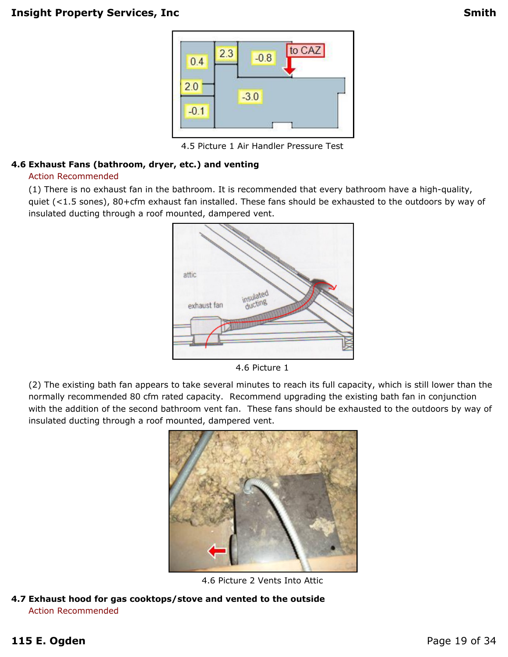

4.5 Picture 1 Air Handler Pressure Test

### **4.6 Exhaust Fans (bathroom, dryer, etc.) and venting**

#### Action Recommended

(1) There is no exhaust fan in the bathroom. It is recommended that every bathroom have a high-quality, quiet (<1.5 sones), 80+cfm exhaust fan installed. These fans should be exhausted to the outdoors by way of insulated ducting through a roof mounted, dampered vent.



<sup>4.6</sup> Picture 1

(2) The existing bath fan appears to take several minutes to reach its full capacity, which is still lower than the normally recommended 80 cfm rated capacity. Recommend upgrading the existing bath fan in conjunction with the addition of the second bathroom vent fan. These fans should be exhausted to the outdoors by way of insulated ducting through a roof mounted, dampered vent.



4.6 Picture 2 Vents Into Attic

**4.7 Exhaust hood for gas cooktops/stove and vented to the outside** Action Recommended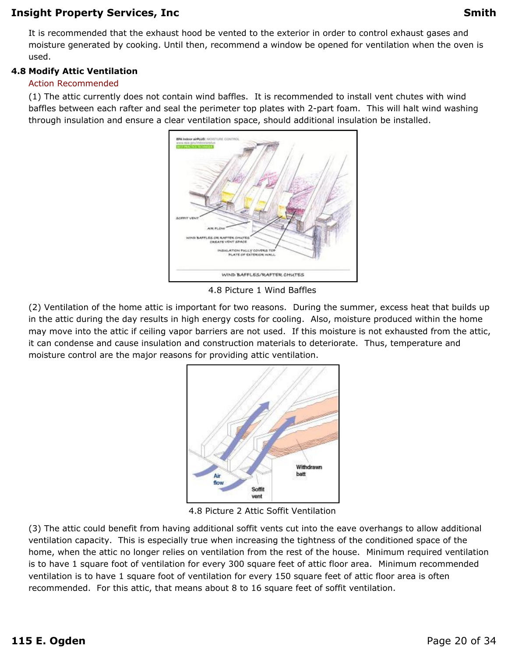It is recommended that the exhaust hood be vented to the exterior in order to control exhaust gases and moisture generated by cooking. Until then, recommend a window be opened for ventilation when the oven is used.

#### **4.8 Modify Attic Ventilation**

#### Action Recommended

(1) The attic currently does not contain wind baffles. It is recommended to install vent chutes with wind baffles between each rafter and seal the perimeter top plates with 2-part foam. This will halt wind washing through insulation and ensure a clear ventilation space, should additional insulation be installed.



4.8 Picture 1 Wind Baffles

(2) Ventilation of the home attic is important for two reasons. During the summer, excess heat that builds up in the attic during the day results in high energy costs for cooling. Also, moisture produced within the home may move into the attic if ceiling vapor barriers are not used. If this moisture is not exhausted from the attic, it can condense and cause insulation and construction materials to deteriorate. Thus, temperature and moisture control are the major reasons for providing attic ventilation.



4.8 Picture 2 Attic Soffit Ventilation

(3) The attic could benefit from having additional soffit vents cut into the eave overhangs to allow additional ventilation capacity. This is especially true when increasing the tightness of the conditioned space of the home, when the attic no longer relies on ventilation from the rest of the house. Minimum required ventilation is to have 1 square foot of ventilation for every 300 square feet of attic floor area. Minimum recommended ventilation is to have 1 square foot of ventilation for every 150 square feet of attic floor area is often recommended. For this attic, that means about 8 to 16 square feet of soffit ventilation.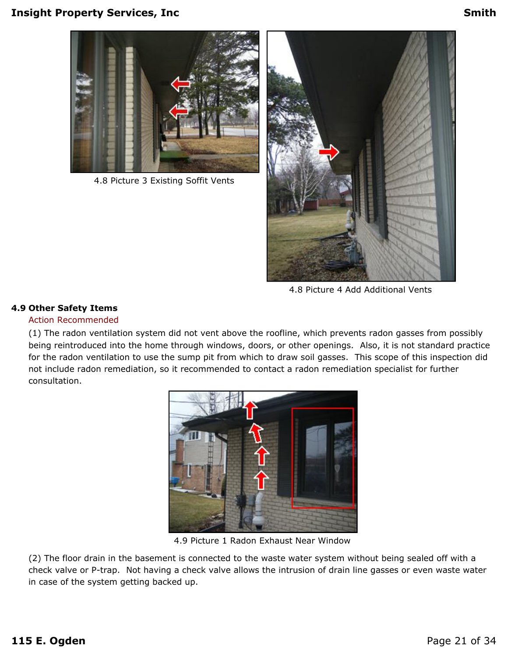

4.8 Picture 3 Existing Soffit Vents



4.8 Picture 4 Add Additional Vents

### **4.9 Other Safety Items**

#### Action Recommended

(1) The radon ventilation system did not vent above the roofline, which prevents radon gasses from possibly being reintroduced into the home through windows, doors, or other openings. Also, it is not standard practice for the radon ventilation to use the sump pit from which to draw soil gasses. This scope of this inspection did not include radon remediation, so it recommended to contact a radon remediation specialist for further consultation.



4.9 Picture 1 Radon Exhaust Near Window

(2) The floor drain in the basement is connected to the waste water system without being sealed off with a check valve or P-trap. Not having a check valve allows the intrusion of drain line gasses or even waste water in case of the system getting backed up.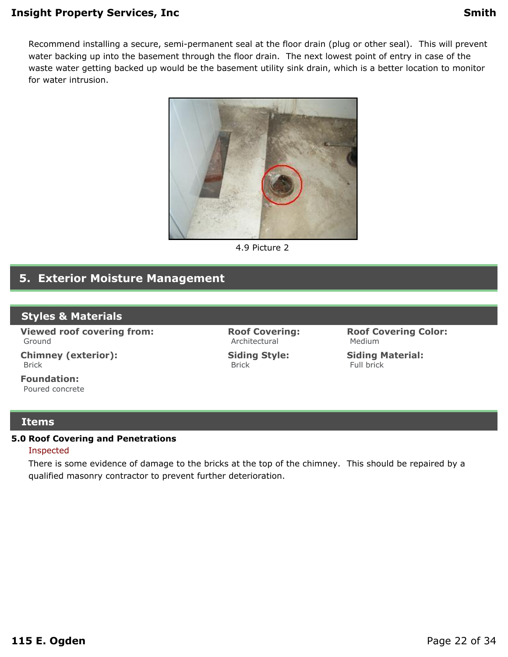Recommend installing a secure, semi-permanent seal at the floor drain (plug or other seal). This will prevent water backing up into the basement through the floor drain. The next lowest point of entry in case of the waste water getting backed up would be the basement utility sink drain, which is a better location to monitor for water intrusion.



4.9 Picture 2

# <span id="page-21-0"></span>**5. Exterior Moisture Management**

### **Styles & Materials**

**Viewed roof covering from:** Ground

**Chimney (exterior):** Brick

**Foundation:** Poured concrete

**Items**

#### **5.0 Roof Covering and Penetrations**

#### Inspected

There is some evidence of damage to the bricks at the top of the chimney. This should be repaired by a qualified masonry contractor to prevent further deterioration.

**Roof Covering:** Architectural

**Siding Style:** Brick

**Roof Covering Color:** Medium

**Siding Material:** Full brick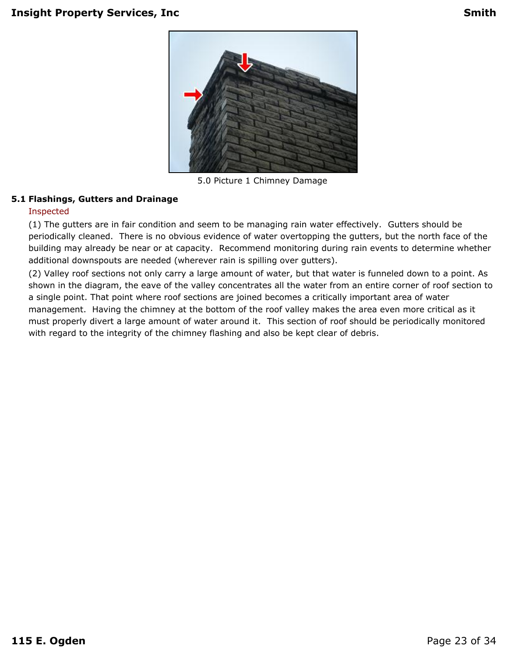

5.0 Picture 1 Chimney Damage

### **5.1 Flashings, Gutters and Drainage**

#### Inspected

(1) The gutters are in fair condition and seem to be managing rain water effectively. Gutters should be periodically cleaned. There is no obvious evidence of water overtopping the gutters, but the north face of the building may already be near or at capacity. Recommend monitoring during rain events to determine whether additional downspouts are needed (wherever rain is spilling over gutters).

(2) Valley roof sections not only carry a large amount of water, but that water is funneled down to a point. As shown in the diagram, the eave of the valley concentrates all the water from an entire corner of roof section to a single point. That point where roof sections are joined becomes a critically important area of water management. Having the chimney at the bottom of the roof valley makes the area even more critical as it must properly divert a large amount of water around it. This section of roof should be periodically monitored with regard to the integrity of the chimney flashing and also be kept clear of debris.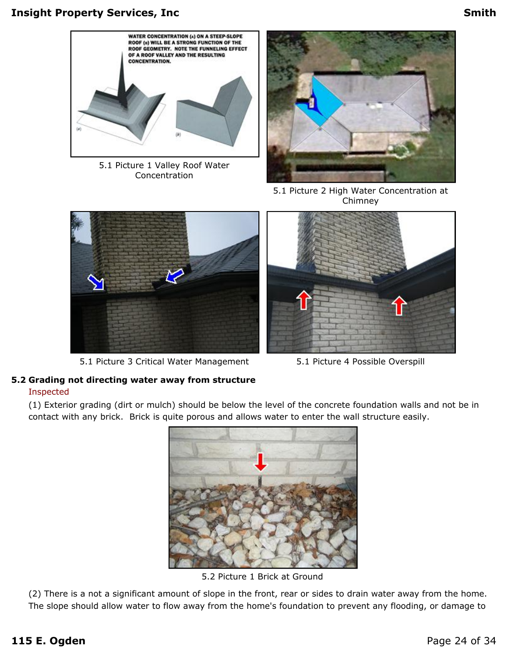

5.1 Picture 1 Valley Roof Water Concentration



5.1 Picture 2 High Water Concentration at Chimney



5.1 Picture 3 Critical Water Management 5.1 Picture 4 Possible Overspill



#### **5.2 Grading not directing water away from structure** Inspected

(1) Exterior grading (dirt or mulch) should be below the level of the concrete foundation walls and not be in contact with any brick. Brick is quite porous and allows water to enter the wall structure easily.



5.2 Picture 1 Brick at Ground

(2) There is a not a significant amount of slope in the front, rear or sides to drain water away from the home. The slope should allow water to flow away from the home's foundation to prevent any flooding, or damage to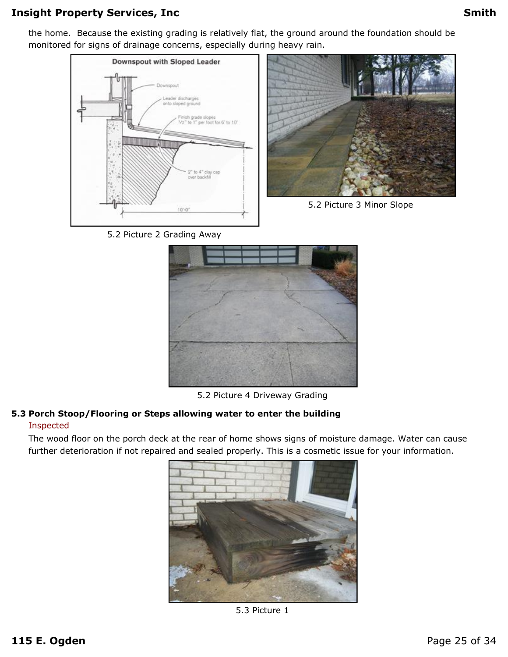the home. Because the existing grading is relatively flat, the ground around the foundation should be monitored for signs of drainage concerns, especially during heavy rain.





5.2 Picture 3 Minor Slope

5.2 Picture 2 Grading Away



5.2 Picture 4 Driveway Grading

#### **5.3 Porch Stoop/Flooring or Steps allowing water to enter the building** Inspected

The wood floor on the porch deck at the rear of home shows signs of moisture damage. Water can cause further deterioration if not repaired and sealed properly. This is a cosmetic issue for your information.



5.3 Picture 1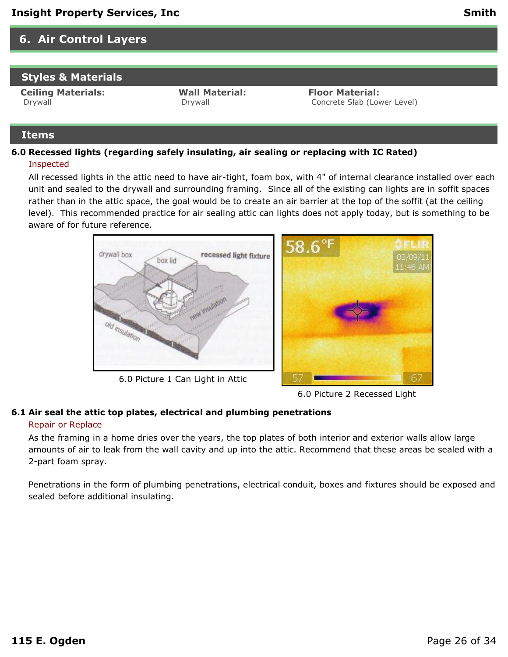# <span id="page-25-0"></span>**6. Air Control Layers**

# **Styles & Materials**

**Ceiling Materials:** Drywall

**Wall Material:** Drywall

**Floor Material:** Concrete Slab (Lower Level)

### **Items**

#### **6.0 Recessed lights (regarding safely insulating, air sealing or replacing with IC Rated)** Inspected

All recessed lights in the attic need to have air-tight, foam box, with 4" of internal clearance installed over each unit and sealed to the drywall and surrounding framing. Since all of the existing can lights are in soffit spaces rather than in the attic space, the goal would be to create an air barrier at the top of the soffit (at the ceiling level). This recommended practice for air sealing attic can lights does not apply today, but is something to be aware of for future reference.



6.0 Picture 1 Can Light in Attic



6.0 Picture 2 Recessed Light

#### **6.1 Air seal the attic top plates, electrical and plumbing penetrations**

#### Repair or Replace

As the framing in a home dries over the years, the top plates of both interior and exterior walls allow large amounts of air to leak from the wall cavity and up into the attic. Recommend that these areas be sealed with a 2-part foam spray.

Penetrations in the form of plumbing penetrations, electrical conduit, boxes and fixtures should be exposed and sealed before additional insulating.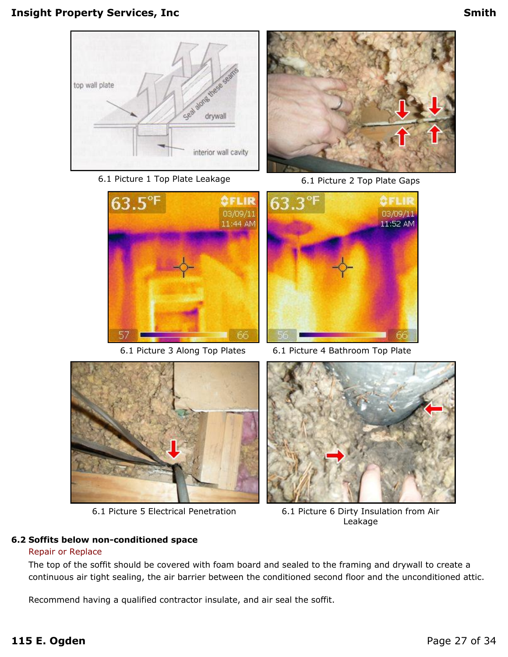

6.1 Picture 1 Top Plate Leakage 6.1 Picture 2 Top Plate Gaps











6.1 Picture 3 Along Top Plates 6.1 Picture 4 Bathroom Top Plate



6.1 Picture 5 Electrical Penetration 6.1 Picture 6 Dirty Insulation from Air Leakage

#### **6.2 Soffits below non-conditioned space**

#### Repair or Replace

The top of the soffit should be covered with foam board and sealed to the framing and drywall to create a continuous air tight sealing, the air barrier between the conditioned second floor and the unconditioned attic.

Recommend having a qualified contractor insulate, and air seal the soffit.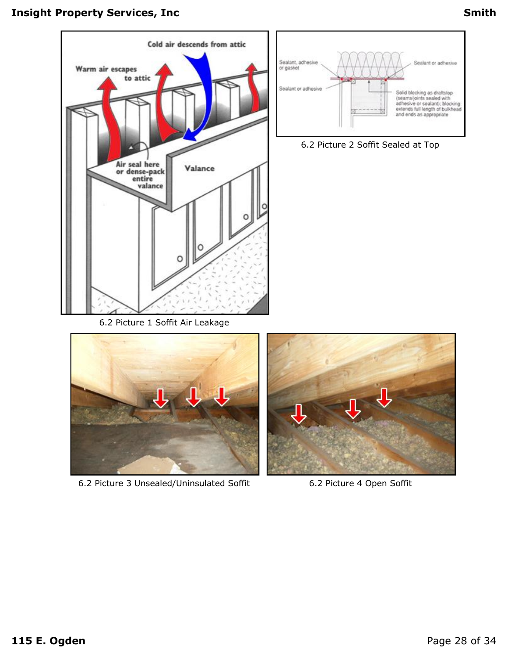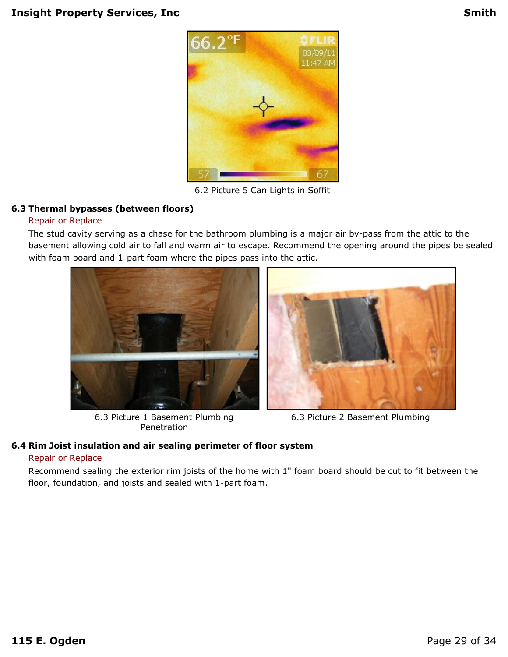

6.2 Picture 5 Can Lights in Soffit

### **6.3 Thermal bypasses (between floors)**

#### Repair or Replace

The stud cavity serving as a chase for the bathroom plumbing is a major air by-pass from the attic to the basement allowing cold air to fall and warm air to escape. Recommend the opening around the pipes be sealed with foam board and 1-part foam where the pipes pass into the attic.



6.3 Picture 1 Basement Plumbing Penetration

6.3 Picture 2 Basement Plumbing

### **6.4 Rim Joist insulation and air sealing perimeter of floor system**

#### Repair or Replace

Recommend sealing the exterior rim joists of the home with 1" foam board should be cut to fit between the floor, foundation, and joists and sealed with 1-part foam.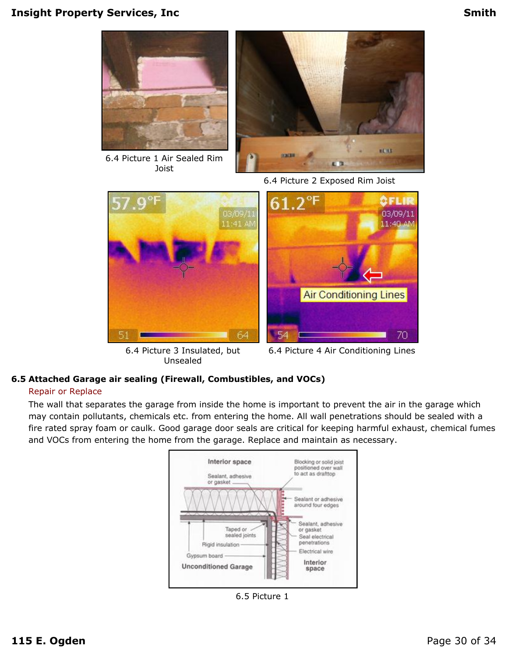

6.4 Picture 1 Air Sealed Rim Joist



6.4 Picture 2 Exposed Rim Joist



6.4 Picture 3 Insulated, but Unsealed

6.4 Picture 4 Air Conditioning Lines

70

### **6.5 Attached Garage air sealing (Firewall, Combustibles, and VOCs)**

#### Repair or Replace

The wall that separates the garage from inside the home is important to prevent the air in the garage which may contain pollutants, chemicals etc. from entering the home. All wall penetrations should be sealed with a fire rated spray foam or caulk. Good garage door seals are critical for keeping harmful exhaust, chemical fumes and VOCs from entering the home from the garage. Replace and maintain as necessary.

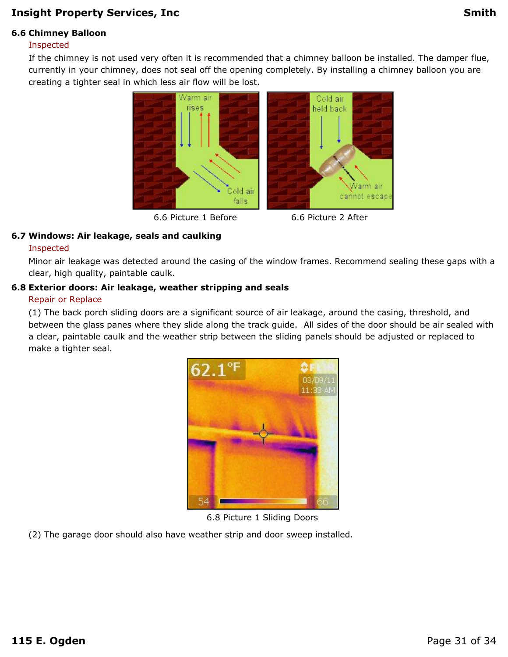# **6.6 Chimney Balloon**

## Inspected

If the chimney is not used very often it is recommended that a chimney balloon be installed. The damper flue, currently in your chimney, does not seal off the opening completely. By installing a chimney balloon you are creating a tighter seal in which less air flow will be lost.



#### **6.7 Windows: Air leakage, seals and caulking**

#### Inspected

Minor air leakage was detected around the casing of the window frames. Recommend sealing these gaps with a clear, high quality, paintable caulk.

#### **6.8 Exterior doors: Air leakage, weather stripping and seals**

#### Repair or Replace

(1) The back porch sliding doors are a significant source of air leakage, around the casing, threshold, and between the glass panes where they slide along the track guide. All sides of the door should be air sealed with a clear, paintable caulk and the weather strip between the sliding panels should be adjusted or replaced to make a tighter seal.



6.8 Picture 1 Sliding Doors

(2) The garage door should also have weather strip and door sweep installed.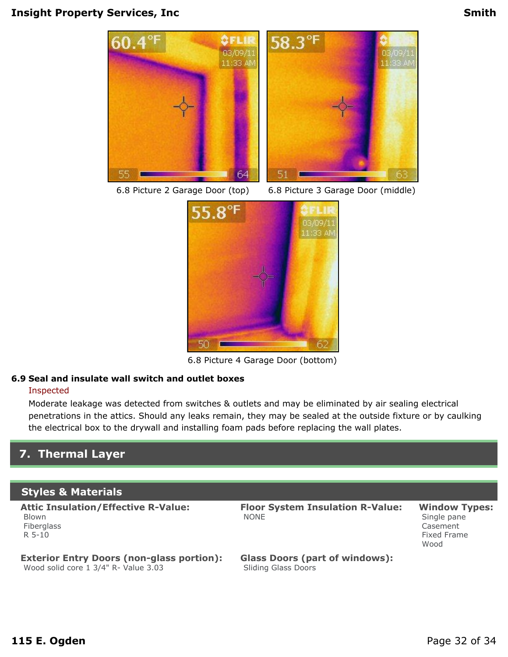

6.8 Picture 2 Garage Door (top) 6.8 Picture 3 Garage Door (middle)



6.8 Picture 4 Garage Door (bottom)

# **6.9 Seal and insulate wall switch and outlet boxes**

### Inspected

Moderate leakage was detected from switches & outlets and may be eliminated by air sealing electrical penetrations in the attics. Should any leaks remain, they may be sealed at the outside fixture or by caulking the electrical box to the drywall and installing foam pads before replacing the wall plates.

# <span id="page-31-0"></span>**7. Thermal Layer**

# **Styles & Materials**

**Attic Insulation/Effective R-Value:** Blown Fiberglass R 5-10

**Floor System Insulation R-Value:** NONE

**Window Types:** Single pane Casement Fixed Frame Wood

**Exterior Entry Doors (non-glass portion):** Wood solid core 1 3/4" R- Value 3.03

**Glass Doors (part of windows):** Sliding Glass Doors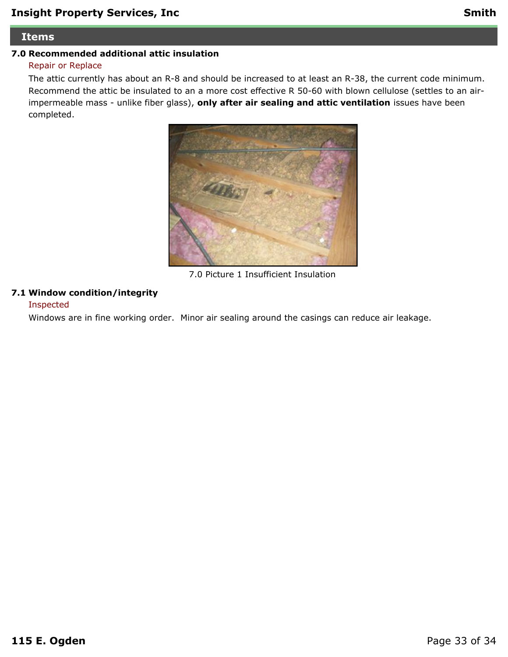#### **Items**

#### **7.0 Recommended additional attic insulation**

#### Repair or Replace

The attic currently has about an R-8 and should be increased to at least an R-38, the current code minimum. Recommend the attic be insulated to an a more cost effective R 50-60 with blown cellulose (settles to an airimpermeable mass - unlike fiber glass), **only after air sealing and attic ventilation** issues have been completed.



7.0 Picture 1 Insufficient Insulation

#### **7.1 Window condition/integrity**

#### Inspected

Windows are in fine working order. Minor air sealing around the casings can reduce air leakage.